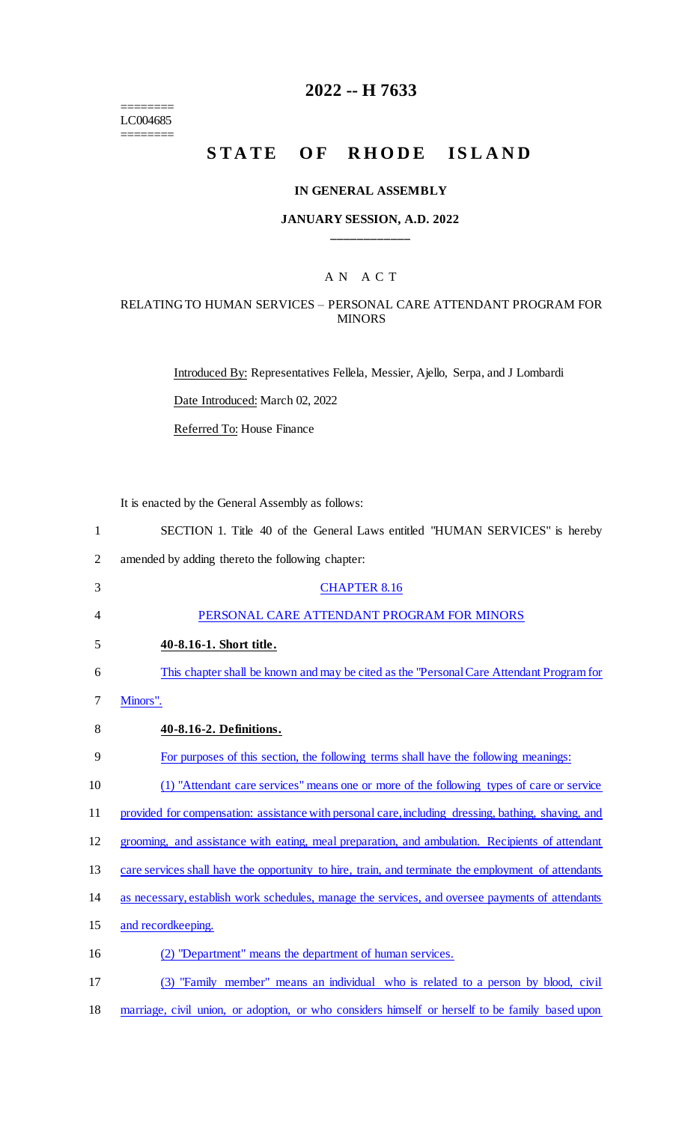======== LC004685 ========

# **2022 -- H 7633**

# **STATE OF RHODE ISLAND**

#### **IN GENERAL ASSEMBLY**

#### **JANUARY SESSION, A.D. 2022 \_\_\_\_\_\_\_\_\_\_\_\_**

## A N A C T

#### RELATING TO HUMAN SERVICES – PERSONAL CARE ATTENDANT PROGRAM FOR MINORS

Introduced By: Representatives Fellela, Messier, Ajello, Serpa, and J Lombardi Date Introduced: March 02, 2022

Referred To: House Finance

It is enacted by the General Assembly as follows:

| 1              | SECTION 1. Title 40 of the General Laws entitled "HUMAN SERVICES" is hereby                         |
|----------------|-----------------------------------------------------------------------------------------------------|
| $\overline{2}$ | amended by adding thereto the following chapter:                                                    |
| 3              | <b>CHAPTER 8.16</b>                                                                                 |
| 4              | PERSONAL CARE ATTENDANT PROGRAM FOR MINORS                                                          |
| 5              | 40-8.16-1. Short title.                                                                             |
| 6              | This chapter shall be known and may be cited as the "Personal Care Attendant Program for            |
| 7              | Minors".                                                                                            |
| 8              | 40-8.16-2. Definitions.                                                                             |
| 9              | For purposes of this section, the following terms shall have the following meanings:                |
| 10             | (1) "Attendant care services" means one or more of the following types of care or service           |
| 11             | provided for compensation: assistance with personal care, including dressing, bathing, shaving, and |
| 12             | grooming, and assistance with eating, meal preparation, and ambulation. Recipients of attendant     |
| 13             | care services shall have the opportunity to hire, train, and terminate the employment of attendants |
| 14             | as necessary, establish work schedules, manage the services, and oversee payments of attendants     |
| 15             | and recordkeeping.                                                                                  |
| 16             | (2) "Department" means the department of human services.                                            |
| 17             | "Family member" means an individual who is related to a person by blood, civil<br>(3)               |
|                |                                                                                                     |

18 marriage, civil union, or adoption, or who considers himself or herself to be family based upon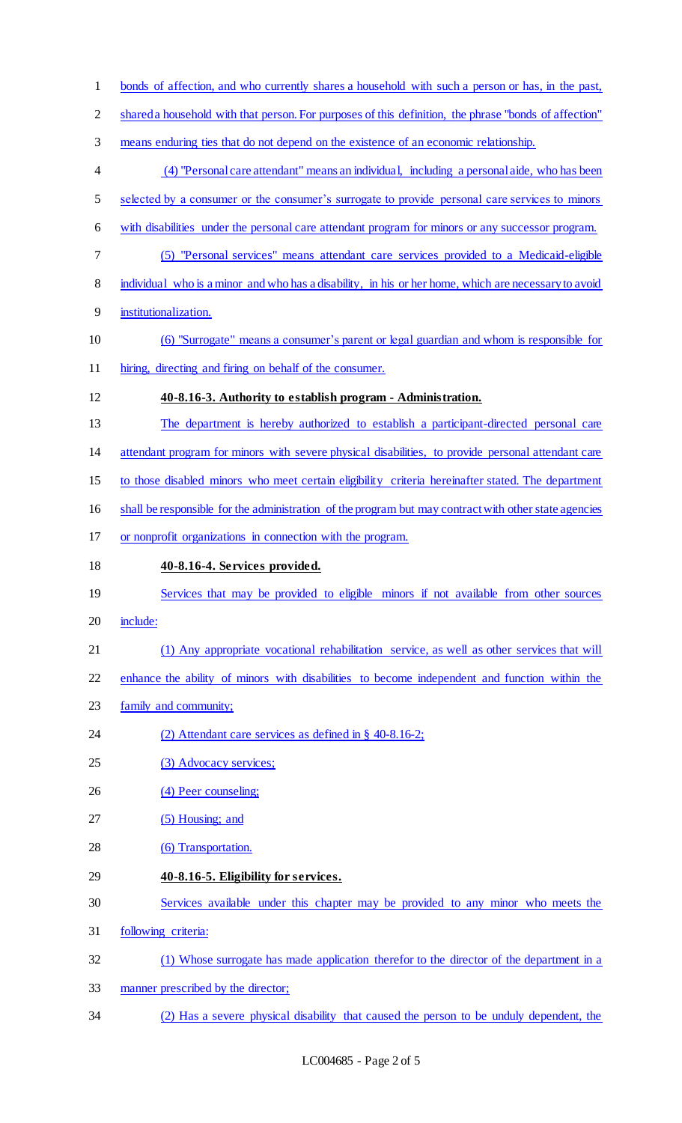bonds of affection, and who currently shares a household with such a person or has, in the past, shared a household with that person. For purposes of this definition, the phrase "bonds of affection" means enduring ties that do not depend on the existence of an economic relationship. (4) "Personal care attendant" means an individual, including a personal aide, who has been selected by a consumer or the consumer's surrogate to provide personal care services to minors with disabilities under the personal care attendant program for minors or any successor program. (5) "Personal services" means attendant care services provided to a Medicaid-eligible individual who is a minor and who has a disability, in his or her home, which are necessary to avoid institutionalization. (6) "Surrogate" means a consumer's parent or legal guardian and whom is responsible for hiring, directing and firing on behalf of the consumer. **40-8.16-3. Authority to establish program - Administration.**  The department is hereby authorized to establish a participant-directed personal care attendant program for minors with severe physical disabilities, to provide personal attendant care to those disabled minors who meet certain eligibility criteria hereinafter stated. The department shall be responsible for the administration of the program but may contract with other state agencies or nonprofit organizations in connection with the program. **40-8.16-4. Services provided.**  19 Services that may be provided to eligible minors if not available from other sources include: (1) Any appropriate vocational rehabilitation service, as well as other services that will enhance the ability of minors with disabilities to become independent and function within the family and community; (2) Attendant care services as defined in § 40-8.16-2; 25 (3) Advocacy services; 26 (4) Peer counseling; 27 (5) Housing; and 28 (6) Transportation. **40-8.16-5. Eligibility for services.**  Services available under this chapter may be provided to any minor who meets the following criteria: (1) Whose surrogate has made application therefor to the director of the department in a manner prescribed by the director; (2) Has a severe physical disability that caused the person to be unduly dependent, the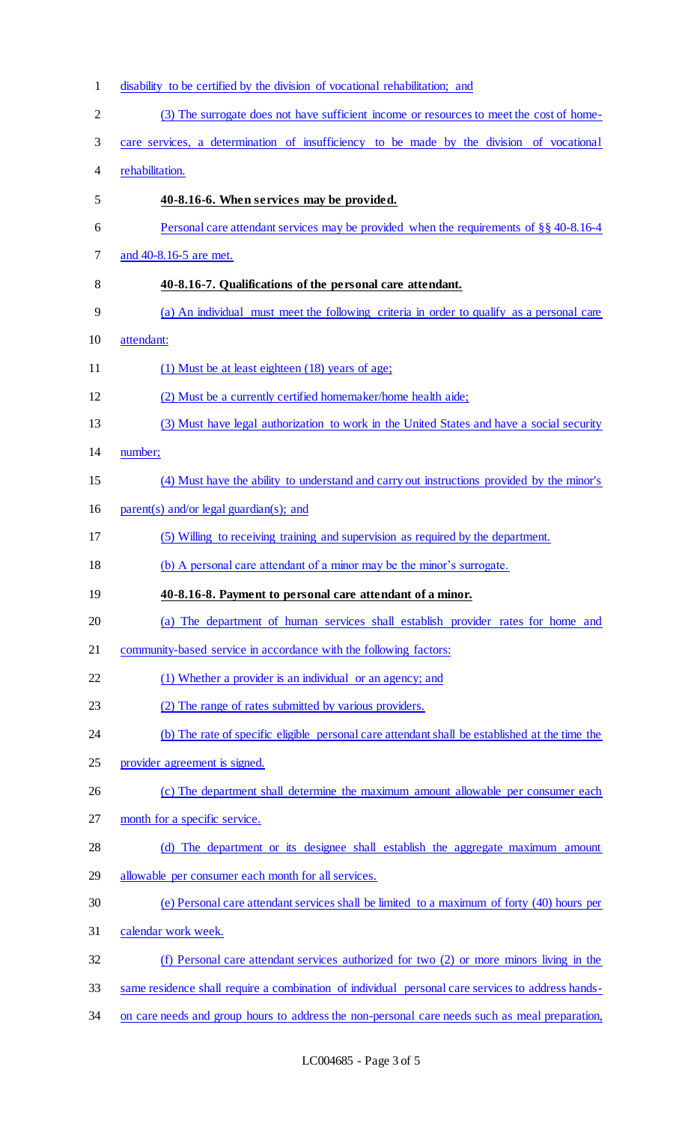| $\mathbf{1}$   | disability to be certified by the division of vocational rehabilitation; and                      |
|----------------|---------------------------------------------------------------------------------------------------|
| $\overline{2}$ | (3) The surrogate does not have sufficient income or resources to meet the cost of home-          |
| 3              | care services, a determination of insufficiency to be made by the division of vocational          |
| $\overline{4}$ | rehabilitation.                                                                                   |
| 5              | 40-8.16-6. When services may be provided.                                                         |
| 6              | Personal care attendant services may be provided when the requirements of $\S$ $\S$ 40-8.16-4     |
| 7              | and 40-8.16-5 are met.                                                                            |
| 8              | 40-8.16-7. Qualifications of the personal care attendant.                                         |
| 9              | (a) An individual must meet the following criteria in order to qualify as a personal care         |
| 10             | attendant:                                                                                        |
| 11             | (1) Must be at least eighteen (18) years of age;                                                  |
| 12             | (2) Must be a currently certified homemaker/home health aide;                                     |
| 13             | (3) Must have legal authorization to work in the United States and have a social security         |
| 14             | number;                                                                                           |
| 15             | (4) Must have the ability to understand and carry out instructions provided by the minor's        |
| 16             | $parent(s)$ and/or legal guardian(s); and                                                         |
| 17             | (5) Willing to receiving training and supervision as required by the department.                  |
| 18             | (b) A personal care attendant of a minor may be the minor's surrogate.                            |
| 19             | 40-8.16-8. Payment to personal care attendant of a minor.                                         |
| 20             | (a) The department of human services shall establish provider rates for home and                  |
| 21             | community-based service in accordance with the following factors:                                 |
| 22             | (1) Whether a provider is an individual or an agency; and                                         |
| 23             | (2) The range of rates submitted by various providers.                                            |
| 24             | (b) The rate of specific eligible personal care attendant shall be established at the time the    |
| 25             | provider agreement is signed.                                                                     |
| 26             | (c) The department shall determine the maximum amount allowable per consumer each                 |
| 27             | month for a specific service.                                                                     |
| 28             | (d) The department or its designee shall establish the aggregate maximum amount                   |
| 29             | allowable per consumer each month for all services.                                               |
| 30             | (e) Personal care attendant services shall be limited to a maximum of forty (40) hours per        |
| 31             | calendar work week.                                                                               |
| 32             | (f) Personal care attendant services authorized for two (2) or more minors living in the          |
| 33             | same residence shall require a combination of individual personal care services to address hands- |
| 34             | on care needs and group hours to address the non-personal care needs such as meal preparation,    |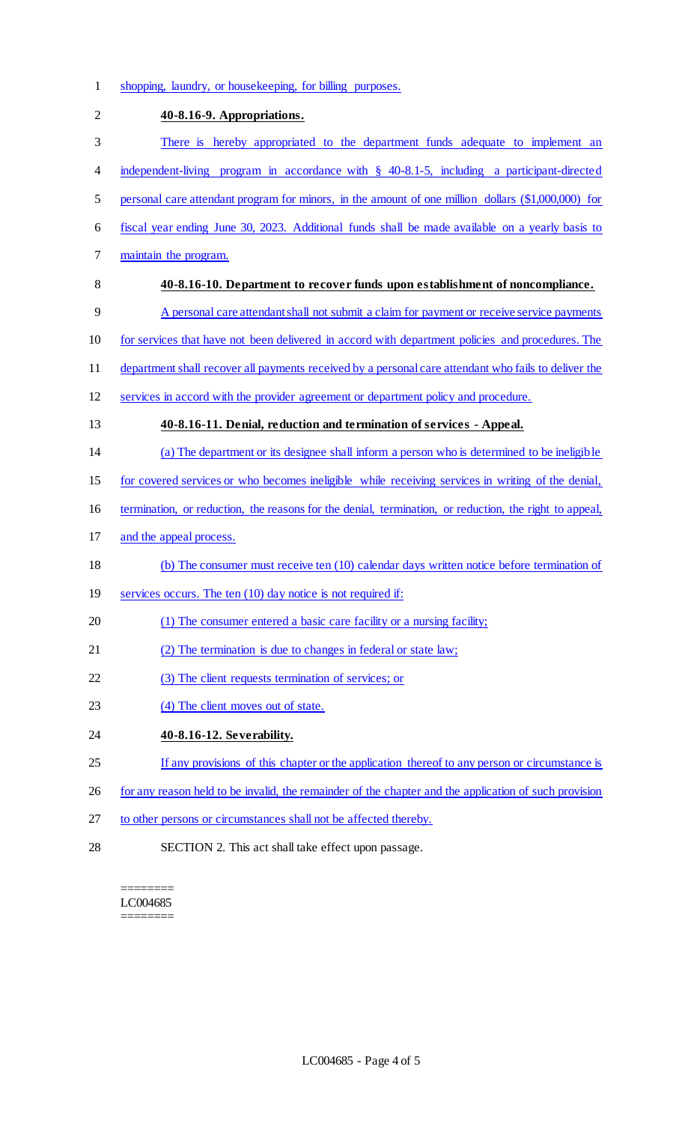shopping, laundry, or housekeeping, for billing purposes.

| $\mathbf{2}$ | 40-8.16-9. Appropriations.                                                                             |
|--------------|--------------------------------------------------------------------------------------------------------|
| 3            | There is hereby appropriated to the department funds adequate to implement an                          |
| 4            | independent-living program in accordance with $\S$ 40-8.1-5, including a participant-directed          |
| 5            | personal care attendant program for minors, in the amount of one million dollars (\$1,000,000) for     |
| 6            | fiscal year ending June 30, 2023. Additional funds shall be made available on a yearly basis to        |
| 7            | maintain the program.                                                                                  |
| 8            | 40-8.16-10. Department to recover funds upon establishment of noncompliance.                           |
| 9            | A personal care attendant shall not submit a claim for payment or receive service payments             |
| 10           | for services that have not been delivered in accord with department policies and procedures. The       |
| 11           | department shall recover all payments received by a personal care attendant who fails to deliver the   |
| 12           | services in accord with the provider agreement or department policy and procedure.                     |
| 13           | 40-8.16-11. Denial, reduction and termination of services - Appeal.                                    |
| 14           | (a) The department or its designee shall inform a person who is determined to be ineligible            |
| 15           | for covered services or who becomes ineligible while receiving services in writing of the denial,      |
| 16           | termination, or reduction, the reasons for the denial, termination, or reduction, the right to appeal, |
| 17           | and the appeal process.                                                                                |
| 18           | (b) The consumer must receive ten (10) calendar days written notice before termination of              |
| 19           | services occurs. The ten (10) day notice is not required if:                                           |
| 20           | (1) The consumer entered a basic care facility or a nursing facility;                                  |
| 21           | (2) The termination is due to changes in federal or state law;                                         |
| 22           | (3) The client requests termination of services; or                                                    |
| 23           | (4) The client moves out of state.                                                                     |
| 24           | 40-8.16-12. Severability.                                                                              |
| 25           | If any provisions of this chapter or the application thereof to any person or circumstance is          |
| 26           | for any reason held to be invalid, the remainder of the chapter and the application of such provision  |
| 27           | to other persons or circumstances shall not be affected thereby.                                       |
| 28           | SECTION 2. This act shall take effect upon passage.                                                    |

======== LC004685 ========